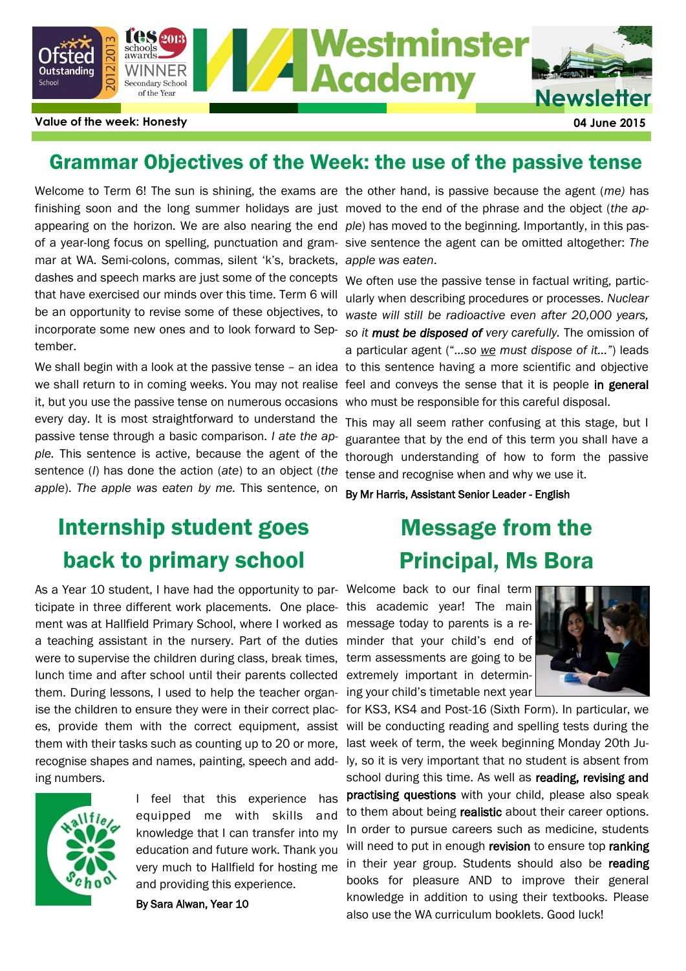

### Grammar Objectives of the Week: the use of the passive tense

Welcome to Term 6! The sun is shining, the exams are the other hand, is passive because the agent (me) has finishing soon and the long summer holidays are just moved to the end of the phrase and the object (*the ap*appearing on the horizon. We are also nearing the end ple) has moved to the beginning. Importantly, in this pasmar at WA. Semi-colons, commas, silent 'k's, brackets, *apple was eaten*. dashes and speech marks are just some of the concepts that have exercised our minds over this time. Term 6 will be an opportunity to revise some of these objectives, to incorporate some new ones and to look forward to September.

we shall return to in coming weeks. You may not realise feel and conveys the sense that it is people in general it, but you use the passive tense on numerous occasions every day. It is most straightforward to understand the This may all seem rather confusing at this stage, but I passive tense through a basic comparison. *I ate the apple.* This sentence is active, because the agent of the sentence (*I*) has done the action (*ate*) to an object (*the apple*). *The apple was eaten by me.* This sentence, on

# Internship student goes back to primary school

As a Year 10 student, I have had the opportunity to par- Welcome back to our final term ticipate in three different work placements. One place- this academic year! The main ment was at Hallfield Primary School, where I worked as message today to parents is a rea teaching assistant in the nursery. Part of the duties were to supervise the children during class, break times, lunch time and after school until their parents collected them. During lessons, I used to help the teacher organes, provide them with the correct equipment, assist them with their tasks such as counting up to 20 or more, recognise shapes and names, painting, speech and adding numbers.



I feel that this experience has equipped me with skills and knowledge that I can transfer into my education and future work. Thank you very much to Hallfield for hosting me and providing this experience.

By Sara Alwan, Year 10

of a year-long focus on spelling, punctuation and gram-sive sentence the agent can be omitted altogether: *The* 

We shall begin with a look at the passive tense - an idea to this sentence having a more scientific and objective We often use the passive tense in factual writing, particularly when describing procedures or processes. *Nuclear waste will still be radioactive even after 20,000 years, so it must be disposed of very carefully.* The omission of a particular agent ("*…so we must dispose of it…"*) leads who must be responsible for this careful disposal.

> guarantee that by the end of this term you shall have a thorough understanding of how to form the passive tense and recognise when and why we use it.

By Mr Harris, Assistant Senior Leader - English

# Message from the Principal, Ms Bora

minder that your child's end of term assessments are going to be extremely important in determining your child's timetable next year



ise the children to ensure they were in their correct plac- for KS3, KS4 and Post-16 (Sixth Form). In particular, we will be conducting reading and spelling tests during the last week of term, the week beginning Monday 20th July, so it is very important that no student is absent from school during this time. As well as reading, revising and practising questions with your child, please also speak to them about being realistic about their career options. In order to pursue careers such as medicine, students will need to put in enough revision to ensure top ranking in their year group. Students should also be reading books for pleasure AND to improve their general knowledge in addition to using their textbooks. Please also use the WA curriculum booklets. Good luck!